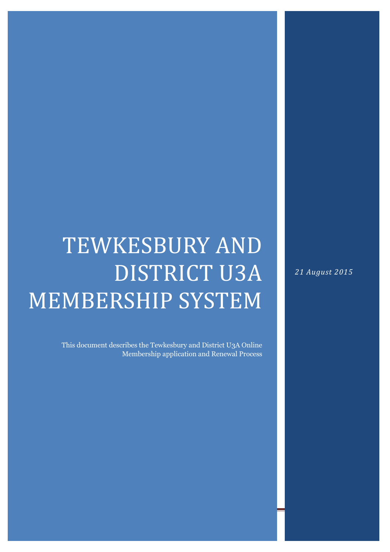## **TEWKESBURY AND** DISTRICT U3A MEMBERSHIP SYSTEM

This document describes the Tewkesbury and District U3A Online Membership application and Renewal Process

31 July 2015 Page 1

21 August 2015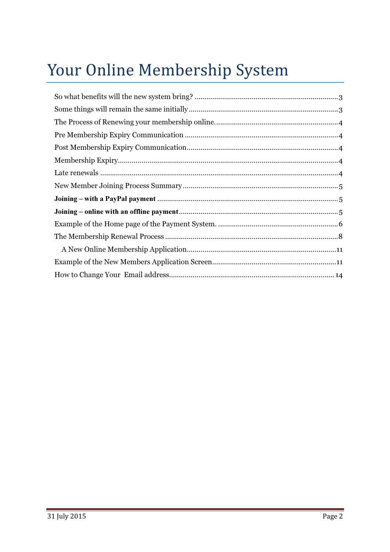## Your Online Membership System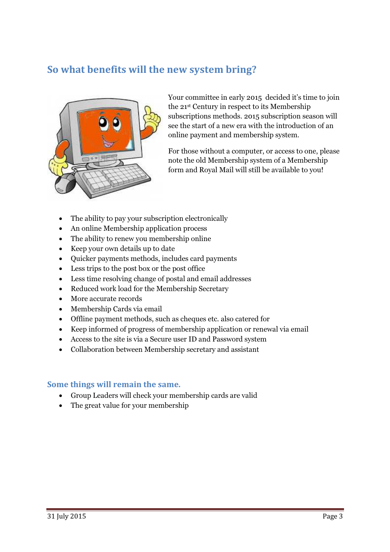## So what benefits will the new system bring?



Your committee in early 2015 decided it's time to join the 21st Century in respect to its Membership subscriptions methods. 2015 subscription season will see the start of a new era with the introduction of an online payment and membership system.

For those without a computer, or access to one, please note the old Membership system of a Membership form and Royal Mail will still be available to you!

- The ability to pay your subscription electronically
- An online Membership application process
- The ability to renew you membership online
- Keep your own details up to date
- Quicker payments methods, includes card payments
- Less trips to the post box or the post office
- Less time resolving change of postal and email addresses
- Reduced work load for the Membership Secretary
- More accurate records
- Membership Cards via email
- Offline payment methods, such as cheques etc. also catered for
- Keep informed of progress of membership application or renewal via email
- Access to the site is via a Secure user ID and Password system
- Collaboration between Membership secretary and assistant

## Some things will remain the same.

- Group Leaders will check your membership cards are valid
- The great value for your membership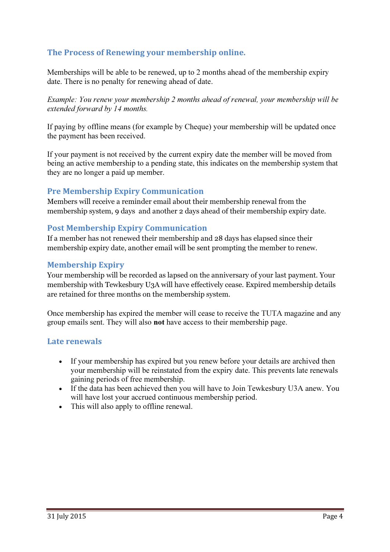## The Process of Renewing your membership online.

Memberships will be able to be renewed, up to 2 months ahead of the membership expiry date. There is no penalty for renewing ahead of date.

Example: You renew your membership 2 months ahead of renewal, your membership will be extended forward by 14 months.

If paying by offline means (for example by Cheque) your membership will be updated once the payment has been received.

If your payment is not received by the current expiry date the member will be moved from being an active membership to a pending state, this indicates on the membership system that they are no longer a paid up member.

## Pre Membership Expiry Communication

Members will receive a reminder email about their membership renewal from the membership system, 9 days and another 2 days ahead of their membership expiry date.

## Post Membership Expiry Communication

If a member has not renewed their membership and 28 days has elapsed since their membership expiry date, another email will be sent prompting the member to renew.

## Membership Expiry

Your membership will be recorded as lapsed on the anniversary of your last payment. Your membership with Tewkesbury U3A will have effectively cease. Expired membership details are retained for three months on the membership system.

Once membership has expired the member will cease to receive the TUTA magazine and any group emails sent. They will also not have access to their membership page.

## Late renewals

- If your membership has expired but you renew before your details are archived then your membership will be reinstated from the expiry date. This prevents late renewals gaining periods of free membership.
- If the data has been achieved then you will have to Join Tewkesbury U3A anew. You will have lost your accrued continuous membership period.
- This will also apply to offline renewal.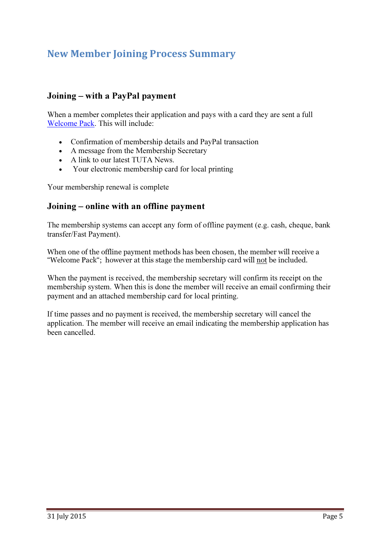## New Member Joining Process Summary

## Joining – with a PayPal payment

When a member completes their application and pays with a card they are sent a full Welcome Pack. This will include:

- Confirmation of membership details and PayPal transaction
- A message from the Membership Secretary
- A link to our latest TUTA News.
- Your electronic membership card for local printing

Your membership renewal is complete

## Joining – online with an offline payment

The membership systems can accept any form of offline payment (e.g. cash, cheque, bank transfer/Fast Payment).

When one of the offline payment methods has been chosen, the member will receive a "Welcome Pack"; however at this stage the membership card will not be included.

When the payment is received, the membership secretary will confirm its receipt on the membership system. When this is done the member will receive an email confirming their payment and an attached membership card for local printing.

If time passes and no payment is received, the membership secretary will cancel the application. The member will receive an email indicating the membership application has been cancelled.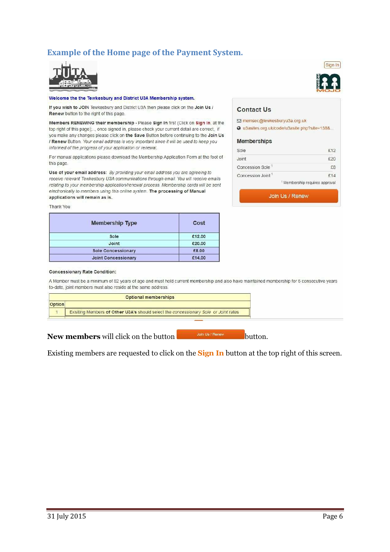## Example of the Home page of the Payment System.



#### Welcome the the Tewkesbury and District U3A Membership system.

If you wish to JOIN Tewkesbury and District U3A then please click on the Join Us / Renew button to the right of this page.

Members RENEWING their membership - Please Sign In first (Click on Sign In, at the top right of this page)..., once signed in, please check your current detail are correct, if you make any changes please click on the Save Button before continuing to the Join Us / Renew Button. Your email address is very important since it will be used to keep you informed of the progress of your application or renewal.

For manual applications please download the Membership Application Form at the foot of this page.

Use of your email address: By providing your email address you are agreeing to receive relevant Tewkesbury U3A communications through email. You will receive emails relating to your membership application/renewal process. Membership cards will be sent electronically to members using this online system. The processing of Manual applications will remain as is.

Thank You

| <b>Membership Type</b>     | Cost   |
|----------------------------|--------|
| Sole                       | £12.00 |
| Joint                      | £20.00 |
| <b>Sole Concessionary</b>  | £8.00  |
| <b>Joint Concessionary</b> | £14.00 |



#### **Contact Us**

⊡ memsec@tewkesburyu3a.org.uk

@ u3asites.org.uk/code/u3asite.php?site=138&...

#### **Memberships**

| Sole                          | £12                                       |
|-------------------------------|-------------------------------------------|
| Joint                         | f20                                       |
| Concession Sole <sup>1</sup>  | £8                                        |
| Concession Joint <sup>1</sup> | f14                                       |
|                               | <sup>1</sup> Membership requires approval |

Join Us / Renew

#### **Concessionary Rate Condition:**

A Member must be a minimum of 82 years of age and must hold current membership and also have maintained membership for 5 consecutive years to-date, joint members must also reside at the same address.

|        | <b>Optional memberships</b>                                                          |  |  |
|--------|--------------------------------------------------------------------------------------|--|--|
| Option |                                                                                      |  |  |
|        | Exisiting Members of Other U3A's should select the concessionary Sole or Joint rates |  |  |
|        |                                                                                      |  |  |

New members will click on the button  $\mathbb{R}$  button.

Existing members are requested to click on the **Sign In** button at the top right of this screen.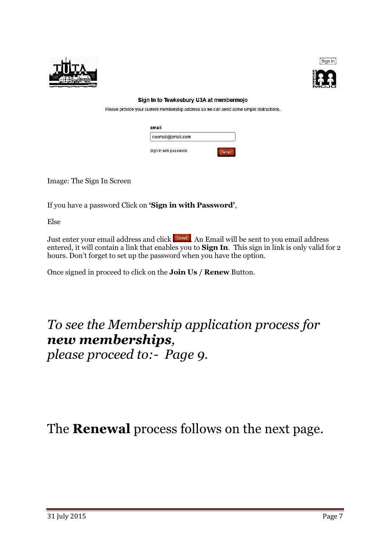



#### Sign In to Tewkesbury U3A at membermojo

Please provide your current membership address so we can send some simple instructions.

| email                 |      |
|-----------------------|------|
| noemail@email.com     |      |
| Sign In with password | Send |

Image: The Sign In Screen

If you have a password Click on 'Sign in with Password',

Else

Just enter your email address and click send. An Email will be sent to you email address entered, it will contain a link that enables you to **Sign In**. This sign in link is only valid for 2 hours. Don't forget to set up the password when you have the option.

Once signed in proceed to click on the Join Us / Renew Button.

To see the Membership application process for new memberships, please proceed to:- Page 9.

The **Renewal** process follows on the next page.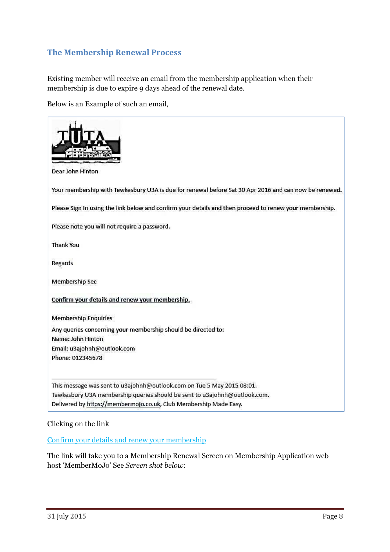## The Membership Renewal Process

Existing member will receive an email from the membership application when their membership is due to expire 9 days ahead of the renewal date.

Below is an Example of such an email,

| Dear John Hinton                                                                                        |
|---------------------------------------------------------------------------------------------------------|
| Your membership with Tewkesbury U3A is due for renewal before Sat 30 Apr 2016 and can now be renewed.   |
| Please Sign In using the link below and confirm your details and then proceed to renew your membership. |
| Please note you will not require a password.                                                            |
| Thank You                                                                                               |
| Regards                                                                                                 |
| Membership Sec                                                                                          |
| Confirm your details and renew your membership.                                                         |
| <b>Membership Enquiries</b>                                                                             |
| Any queries concerning your membership should be directed to:                                           |
| Name: John Hinton                                                                                       |
| Email: u3ajohnh@outlook.com                                                                             |
| Phone: 012345678                                                                                        |
| This message was sent to u3ajohnh@outlook.com on Tue 5 May 2015 08:01.                                  |
| Tewkesbury U3A membership queries should be sent to u3ajohnh@outlook.com.                               |
| Delivered by https://membermojo.co.uk, Club Membership Made Easy.                                       |

## Clicking on the link

Confirm your details and renew your membership

The link will take you to a Membership Renewal Screen on Membership Application web host 'MemberMoJo' See Screen shot below: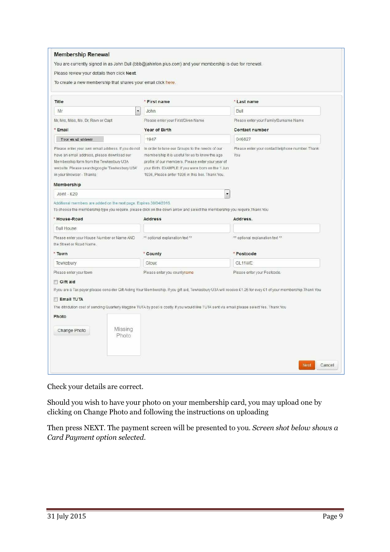| Please review your details then click Next.                                                                                                                                                                                            | You are currently signed in as John Bull (bbb@jahinton.plus.com) and your membership is due for renewal.                                                                                                                                                        |                                                                                                                                                                  |
|----------------------------------------------------------------------------------------------------------------------------------------------------------------------------------------------------------------------------------------|-----------------------------------------------------------------------------------------------------------------------------------------------------------------------------------------------------------------------------------------------------------------|------------------------------------------------------------------------------------------------------------------------------------------------------------------|
| To create a new membership that shares your email click here.                                                                                                                                                                          |                                                                                                                                                                                                                                                                 |                                                                                                                                                                  |
| Title                                                                                                                                                                                                                                  | * First name                                                                                                                                                                                                                                                    | * Last name                                                                                                                                                      |
| $\overline{ }$<br>Mr                                                                                                                                                                                                                   | John                                                                                                                                                                                                                                                            | Bull                                                                                                                                                             |
| Mr, Mrs, Miss, Ms, Dr, Revn or Capt<br>* Email                                                                                                                                                                                         | Please enter your First/Given Name<br>Year of Birth                                                                                                                                                                                                             | Please enter your Family/Surname Name<br>Contact number                                                                                                          |
| Your em ail address                                                                                                                                                                                                                    | 1947                                                                                                                                                                                                                                                            | 046827                                                                                                                                                           |
| Please enter your own email address. If you do not<br>have an email address, please download our<br>Membership form from the Tewkesbury U3A<br>website. Please search/google Tewkesbury U3A'<br>in your Browser - Thanks<br>Membership | In order to tune our Groups to the needs of our<br>membership it is useful for us to know the age<br>profile of our members. Please enter your year of<br>your Birth. EXAMPLE: If you were born on the 1 Jun<br>1936, Please enter 1936 in this box. Thank You. | Please enter your contact telphone number. Thank<br>You                                                                                                          |
| Joint - £20                                                                                                                                                                                                                            | $\overline{\phantom{0}}$                                                                                                                                                                                                                                        |                                                                                                                                                                  |
| Additional members are added on the next page. Expires 30/04/2016.<br>* House-Road                                                                                                                                                     | To choose the membership type you require, please click on the down arrow and select the membership you require.Thank You<br><b>Address</b>                                                                                                                     | Address.                                                                                                                                                         |
| <b>Bull House</b>                                                                                                                                                                                                                      |                                                                                                                                                                                                                                                                 |                                                                                                                                                                  |
| Please enter your House Number or Name AND<br>the Street or Road Name.                                                                                                                                                                 | ** optional explanation text **                                                                                                                                                                                                                                 | ** optional explanation text **                                                                                                                                  |
| * Town                                                                                                                                                                                                                                 | * County                                                                                                                                                                                                                                                        | * Postcode                                                                                                                                                       |
| Tewkebury                                                                                                                                                                                                                              | Glouc                                                                                                                                                                                                                                                           | GL11WE                                                                                                                                                           |
| Please enter your town<br>Gift aid                                                                                                                                                                                                     | Please enter you countyname                                                                                                                                                                                                                                     | Please enter your Postcode.                                                                                                                                      |
| <b>Email TUTA</b>                                                                                                                                                                                                                      |                                                                                                                                                                                                                                                                 | If you are a Tax payer please consider Gift Aiding Your Membership. If you gift aid, Tewkesbury U3A will receive £1.25 for evey £1 of your membership. Thank You |
|                                                                                                                                                                                                                                        | The ditridution cost of sending Quarterly Magzine TUTA by post is costly. If you would like TUTA sent via email please select Yes. Thank You                                                                                                                    |                                                                                                                                                                  |
| Photo                                                                                                                                                                                                                                  |                                                                                                                                                                                                                                                                 |                                                                                                                                                                  |
|                                                                                                                                                                                                                                        |                                                                                                                                                                                                                                                                 |                                                                                                                                                                  |

Check your details are correct.

Should you wish to have your photo on your membership card, you may upload one by clicking on Change Photo and following the instructions on uploading

Then press NEXT. The payment screen will be presented to you. Screen shot below shows a Card Payment option selected.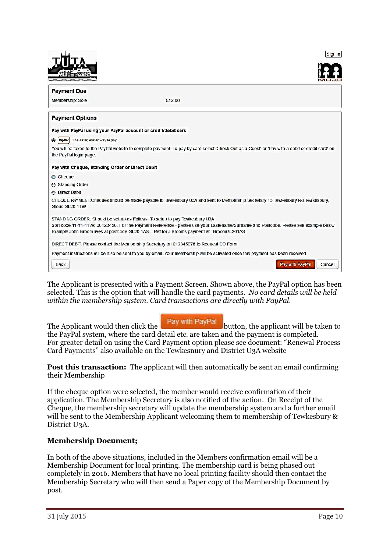|                                                                | Sign In                                                                                                                                                                                                                           |
|----------------------------------------------------------------|-----------------------------------------------------------------------------------------------------------------------------------------------------------------------------------------------------------------------------------|
|                                                                |                                                                                                                                                                                                                                   |
| <b>Payment Due</b>                                             |                                                                                                                                                                                                                                   |
| Membership: Sole                                               | £12.00                                                                                                                                                                                                                            |
| <b>Payment Options</b>                                         |                                                                                                                                                                                                                                   |
| Pay with PayPal using your PayPal account or credit/debit card |                                                                                                                                                                                                                                   |
| $\circledcirc$<br>PayPar<br>The safer, easier way to pay.      |                                                                                                                                                                                                                                   |
| the PayPal login page.                                         | You will be taken to the PayPal website to complete payment. To pay by card select 'Check Out as a Guest' or 'Pay with a debit or credit card' on                                                                                 |
| Pay with Cheque, Standing Order or Direct Debit                |                                                                                                                                                                                                                                   |
| Cheque                                                         |                                                                                                                                                                                                                                   |
| Standing Order                                                 |                                                                                                                                                                                                                                   |
| <b>C</b> Direct Debit                                          |                                                                                                                                                                                                                                   |
| Glouc GL20 1TW                                                 | CHEQUE PAYMENT:Cheques should be made payable to Tewkesbury U3A and sent to Membership Secretary 13 Tewkesbury Rd Tewkesbury,                                                                                                     |
|                                                                | STANDING ORDER: Should be set up as Follows: To setup to pay Tewkesbury U3A                                                                                                                                                       |
|                                                                | Sort code 11-11-11 Ac 00123456. For the Payment Reference - please use your Lastename/Surname and Postcode. Please see example below<br>Example John Broom lives at postcode GL20 1AS  Ref for J Brooms payment is:- BroomGL201AS |
|                                                                | DIRECT DEBIT: Please contact the Membership Secretary on 012345678 to Request DD Form                                                                                                                                             |
|                                                                | Payment instructions will be also be sent to you by email. Your membership will be activated once this payment has been received.                                                                                                 |
| Back                                                           | Pay with PayPal<br>Cancel                                                                                                                                                                                                         |

The Applicant is presented with a Payment Screen. Shown above, the PayPal option has been selected. This is the option that will handle the card payments. No card details will be held within the membership system. Card transactions are directly with PayPal.

The Applicant would then click the  $\begin{bmatrix} \text{Pay with PayPal} \\ \text{button, the applicant will be taken to} \end{bmatrix}$ the PayPal system, where the card detail etc. are taken and the payment is completed. For greater detail on using the Card Payment option please see document: "Renewal Process Card Payments" also available on the Tewkesnury and District U3A website

Post this transaction: The applicant will then automatically be sent an email confirming their Membership

If the cheque option were selected, the member would receive confirmation of their application. The Membership Secretary is also notified of the action. On Receipt of the Cheque, the membership secretary will update the membership system and a further email will be sent to the Membership Applicant welcoming them to membership of Tewkesbury  $\&$ District U3A.

## Membership Document;

In both of the above situations, included in the Members confirmation email will be a Membership Document for local printing. The membership card is being phased out completely in 2016. Members that have no local printing facility should then contact the Membership Secretary who will then send a Paper copy of the Membership Document by post.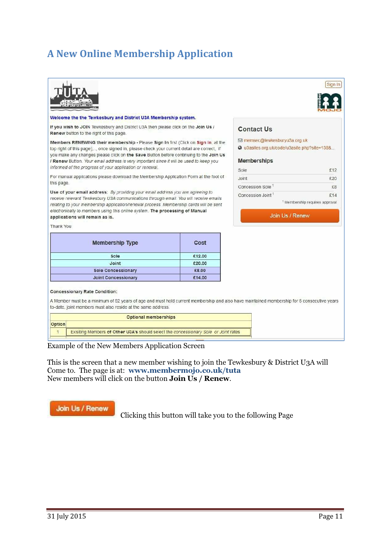## A New Online Membership Application



#### Welcome the the Tewkesbury and District U3A Membership system.

If you wish to JOIN Tewkesbury and District U3A then please click on the Join Us / Renew button to the right of this page.

Members RENEWING their membership - Please Sign In first (Click on Sign In, at the top right of this page),..., once signed in, please check your current detail are correct, if you make any changes please click on the Save Button before continuing to the Join Us / Renew Button. Your email address is very important since it will be used to keep you informed of the progress of your application or renewal.

For manual applications please download the Membership Application Form at the foot of this page

Use of your email address: By providing your email address you are agreeing to receive relevant Tewkesbury U3A communications through email. You will receive emails relating to your membership application/renewal process. Membership cards will be sent electronically to members using this online system. The processing of Manual applications will remain as is.

Thank You

| <b>Membership Type</b>     | Cost   |
|----------------------------|--------|
| Sole                       | £12.00 |
| Joint                      | £20.00 |
| <b>Sole Concessionary</b>  | £8.00  |
| <b>Joint Concessionary</b> | £14.00 |

# Sign In

#### **Contact Us**

⊡ memsec@tewkesburyu3a.org.uk

2 u3asites.org.uk/code/u3asite.php?site=138&...

#### **Memberships**

| Sole                          | £12                                       |
|-------------------------------|-------------------------------------------|
| Joint                         | £20                                       |
| Concession Sole <sup>1</sup>  | £8                                        |
| Concession Joint <sup>1</sup> | £14                                       |
|                               | <sup>1</sup> Membership requires approval |

Join Us / Renew

#### **Concessionary Rate Condition:**

A Member must be a minimum of 82 years of age and must hold current membership and also have maintained membership for 5 consecutive years to-date, joint members must also reside at the same address.

| Optional memberships                                                                 |  |  |  |
|--------------------------------------------------------------------------------------|--|--|--|
| ' lOption                                                                            |  |  |  |
| Exisiting Members of Other U3A's should select the concessionary Sole or Joint rates |  |  |  |
|                                                                                      |  |  |  |

Example of the New Members Application Screen

This is the screen that a new member wishing to join the Tewkesbury & District U3A will Come to. The page is at: www.membermojo.co.uk/tuta New members will click on the button Join Us / Renew.

#### Join Us / Renew

Clicking this button will take you to the following Page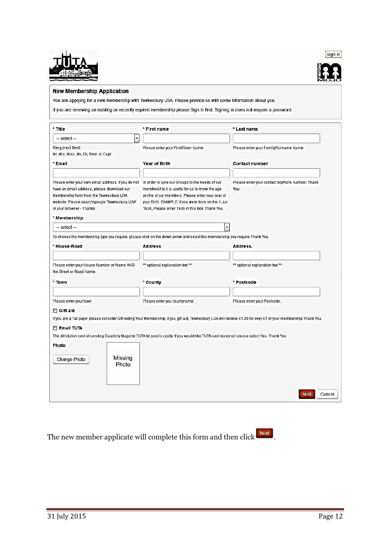



#### **New Membership Application**

You are applying for a new membership with Tewkesbury U3A. Please provide us with some information about you.

If you are renewing an existing or recently expired membership please Sign In first. Signing in does not require a password.

| * Title                                                                                                                                                                                                                  | * First name                                                                                                                                                                                                                                                    | * Last name                                                                                                                                                      |
|--------------------------------------------------------------------------------------------------------------------------------------------------------------------------------------------------------------------------|-----------------------------------------------------------------------------------------------------------------------------------------------------------------------------------------------------------------------------------------------------------------|------------------------------------------------------------------------------------------------------------------------------------------------------------------|
| $\ddot{\phantom{0}}$<br>$-$ select $-$                                                                                                                                                                                   |                                                                                                                                                                                                                                                                 |                                                                                                                                                                  |
| Required field.<br>Mr, Mrs, Miss, Ms, Dr, Revn or Capt                                                                                                                                                                   | Please enter your First/Given Name                                                                                                                                                                                                                              | Please enter your Family/Surname Name                                                                                                                            |
| * Email                                                                                                                                                                                                                  | Year of Birth                                                                                                                                                                                                                                                   | <b>Contact number</b>                                                                                                                                            |
| Please enter your own email address. If you do not<br>have an email address, please download our<br>Membership form from the Tewkesbury U3A<br>website. Please search/google Tewkesbury U3A'<br>in your Browser - Thanks | In order to tune our Groups to the needs of our<br>membership it is useful for us to know the age<br>profile of our members. Please enter your year of<br>your Birth. EXAMPLE: If you were born on the 1 Jun<br>1936, Please enter 1936 in this box. Thank You. | Please enter your contact telphone number. Thank<br>You                                                                                                          |
| * Membership                                                                                                                                                                                                             |                                                                                                                                                                                                                                                                 |                                                                                                                                                                  |
| $-$ select $-$                                                                                                                                                                                                           |                                                                                                                                                                                                                                                                 |                                                                                                                                                                  |
|                                                                                                                                                                                                                          | To choose the membership type you require, please click on the down arrow and select the membership you require. Thank You                                                                                                                                      |                                                                                                                                                                  |
| * House-Road                                                                                                                                                                                                             | <b>Address</b>                                                                                                                                                                                                                                                  | Address.                                                                                                                                                         |
| Please enter your House Number or Name AND<br>the Street or Road Name.<br>* Town                                                                                                                                         | ** optional explanation text **<br>* County                                                                                                                                                                                                                     | ** optional explanation text **<br>* Postcode                                                                                                                    |
| Please enter your town                                                                                                                                                                                                   | Please enter you countyname                                                                                                                                                                                                                                     | Please enter your Postcode.                                                                                                                                      |
| Gift aid                                                                                                                                                                                                                 |                                                                                                                                                                                                                                                                 |                                                                                                                                                                  |
|                                                                                                                                                                                                                          |                                                                                                                                                                                                                                                                 | If you are a Tax payer please consider Gift Aiding Your Membership. If you gift aid, Tewkesbury U3A will receive £1.25 for evey £1 of your membership. Thank You |
| <b>E</b> Email TUTA                                                                                                                                                                                                      |                                                                                                                                                                                                                                                                 |                                                                                                                                                                  |
|                                                                                                                                                                                                                          | The ditridution cost of sending Quarterly Magzine TUTA by post is costly. If you would like TUTA sent via email please select Yes. Thank You                                                                                                                    |                                                                                                                                                                  |
| Missing<br>Change Photo<br>Photo                                                                                                                                                                                         |                                                                                                                                                                                                                                                                 |                                                                                                                                                                  |
| Photo                                                                                                                                                                                                                    |                                                                                                                                                                                                                                                                 | <b>Next</b><br>Cancel                                                                                                                                            |

The new member applicate will complete this form and then click  $\Box$ .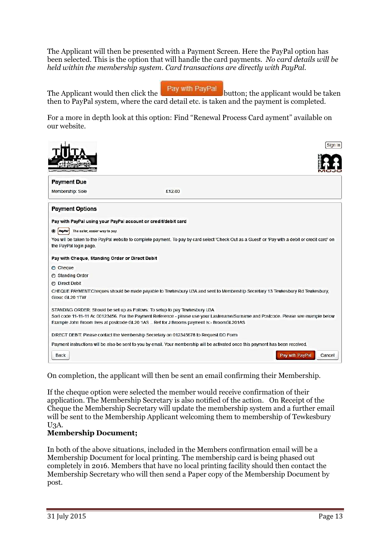The Applicant will then be presented with a Payment Screen. Here the PayPal option has been selected. This is the option that will handle the card payments. No card details will be held within the membership system. Card transactions are directly with PayPal.

|  | Pay with PayPal |
|--|-----------------|
|  |                 |
|  |                 |

The Applicant would then click the  $\frac{1}{2}$  Fay will Eay Fay button; the applicant would be taken then to PayPal system, where the card detail etc. is taken and the payment is completed.

For a more in depth look at this option: Find "Renewal Process Card ayment" available on our website.

|                                                                | Sign In                                                                                                                                                                                                                                                                                                          |
|----------------------------------------------------------------|------------------------------------------------------------------------------------------------------------------------------------------------------------------------------------------------------------------------------------------------------------------------------------------------------------------|
|                                                                |                                                                                                                                                                                                                                                                                                                  |
| <b>Payment Due</b>                                             |                                                                                                                                                                                                                                                                                                                  |
| Membership: Sole                                               | £12.00                                                                                                                                                                                                                                                                                                           |
| <b>Payment Options</b>                                         |                                                                                                                                                                                                                                                                                                                  |
| Pay with PayPal using your PayPal account or credit/debit card |                                                                                                                                                                                                                                                                                                                  |
| The safer, easier way to pay.<br>۰<br><b>PayPar</b>            |                                                                                                                                                                                                                                                                                                                  |
| the PayPal login page.                                         | You will be taken to the PayPal website to complete payment. To pay by card select 'Check Out as a Guest' or 'Pay with a debit or credit card' on                                                                                                                                                                |
| Pay with Cheque, Standing Order or Direct Debit                |                                                                                                                                                                                                                                                                                                                  |
| Cheque                                                         |                                                                                                                                                                                                                                                                                                                  |
| Standing Order                                                 |                                                                                                                                                                                                                                                                                                                  |
| <b>O</b> Direct Debit                                          |                                                                                                                                                                                                                                                                                                                  |
| Glouc GL20 1TW                                                 | CHEQUE PAYMENT:Cheques should be made payable to Tewkesbury U3A and sent to Membership Secretary 13 Tewkesbury Rd Tewkesbury,                                                                                                                                                                                    |
|                                                                | STANDING ORDER: Should be set up as Follows: To setup to pay Tewkesbury U3A<br>Sort code 11-11-11 Ac 00123456. For the Payment Reference - please use your Lastename/Surname and Postcode. Please see example below<br>Example John Broom lives at postcode GL20 1AS  Ref for J Brooms payment is:- BroomGL201AS |
|                                                                | DIRECT DEBIT: Please contact the Membership Secretary on 012345678 to Request DD Form                                                                                                                                                                                                                            |
|                                                                | Payment instructions will be also be sent to you by email. Your membership will be activated once this payment has been received.                                                                                                                                                                                |
| Back                                                           | Pay with PayPal<br>Cancel                                                                                                                                                                                                                                                                                        |

On completion, the applicant will then be sent an email confirming their Membership.

If the cheque option were selected the member would receive confirmation of their application. The Membership Secretary is also notified of the action. On Receipt of the Cheque the Membership Secretary will update the membership system and a further email will be sent to the Membership Applicant welcoming them to membership of Tewkesbury U3A.

## Membership Document;

In both of the above situations, included in the Members confirmation email will be a Membership Document for local printing. The membership card is being phased out completely in 2016. Members that have no local printing facility should then contact the Membership Secretary who will then send a Paper copy of the Membership Document by post.